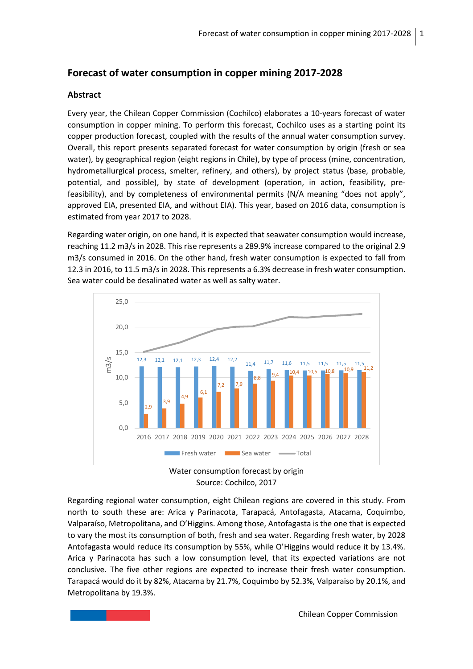## **Forecast of water consumption in copper mining 2017-2028**

## **Abstract**

Every year, the Chilean Copper Commission (Cochilco) elaborates a 10-years forecast of water consumption in copper mining. To perform this forecast, Cochilco uses as a starting point its copper production forecast, coupled with the results of the annual water consumption survey. Overall, this report presents separated forecast for water consumption by origin (fresh or sea water), by geographical region (eight regions in Chile), by type of process (mine, concentration, hydrometallurgical process, smelter, refinery, and others), by project status (base, probable, potential, and possible), by state of development (operation, in action, feasibility, prefeasibility), and by completeness of environmental permits (N/A meaning "does not apply", approved EIA, presented EIA, and without EIA). This year, based on 2016 data, consumption is estimated from year 2017 to 2028.

Regarding water origin, on one hand, it is expected that seawater consumption would increase, reaching 11.2 m3/s in 2028. This rise represents a 289.9% increase compared to the original 2.9 m3/s consumed in 2016. On the other hand, fresh water consumption is expected to fall from 12.3 in 2016, to 11.5 m3/s in 2028. This represents a 6.3% decrease in fresh water consumption. Sea water could be desalinated water as well as salty water.



Water consumption forecast by origin Source: Cochilco, 2017

Regarding regional water consumption, eight Chilean regions are covered in this study. From north to south these are: Arica y Parinacota, Tarapacá, Antofagasta, Atacama, Coquimbo, Valparaíso, Metropolitana, and O'Higgins. Among those, Antofagasta is the one that is expected to vary the most its consumption of both, fresh and sea water. Regarding fresh water, by 2028 Antofagasta would reduce its consumption by 55%, while O'Higgins would reduce it by 13.4%. Arica y Parinacota has such a low consumption level, that its expected variations are not conclusive. The five other regions are expected to increase their fresh water consumption. Tarapacá would do it by 82%, Atacama by 21.7%, Coquimbo by 52.3%, Valparaiso by 20.1%, and Metropolitana by 19.3%.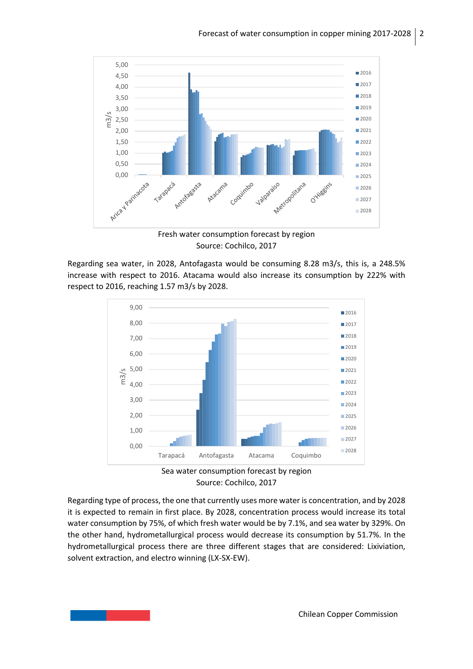

Source: Cochilco, 2017

Regarding sea water, in 2028, Antofagasta would be consuming 8.28 m3/s, this is, a 248.5% increase with respect to 2016. Atacama would also increase its consumption by 222% with respect to 2016, reaching 1.57 m3/s by 2028.



Source: Cochilco, 2017

Regarding type of process, the one that currently uses more water is concentration, and by 2028 it is expected to remain in first place. By 2028, concentration process would increase its total water consumption by 75%, of which fresh water would be by 7.1%, and sea water by 329%. On the other hand, hydrometallurgical process would decrease its consumption by 51.7%. In the hydrometallurgical process there are three different stages that are considered: Lixiviation, solvent extraction, and electro winning (LX-SX-EW).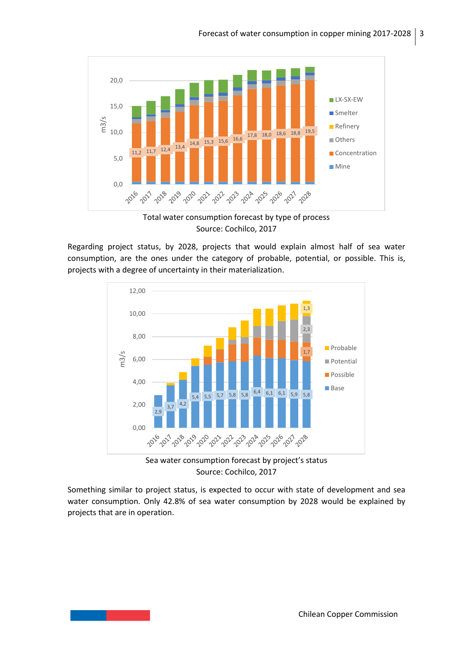

Source: Cochilco, 2017

Regarding project status, by 2028, projects that would explain almost half of sea water consumption, are the ones under the category of probable, potential, or possible. This is, projects with a degree of uncertainty in their materialization.



Sea water consumption forecast by project's status Source: Cochilco, 2017

Something similar to project status, is expected to occur with state of development and sea water consumption. Only 42.8% of sea water consumption by 2028 would be explained by projects that are in operation.